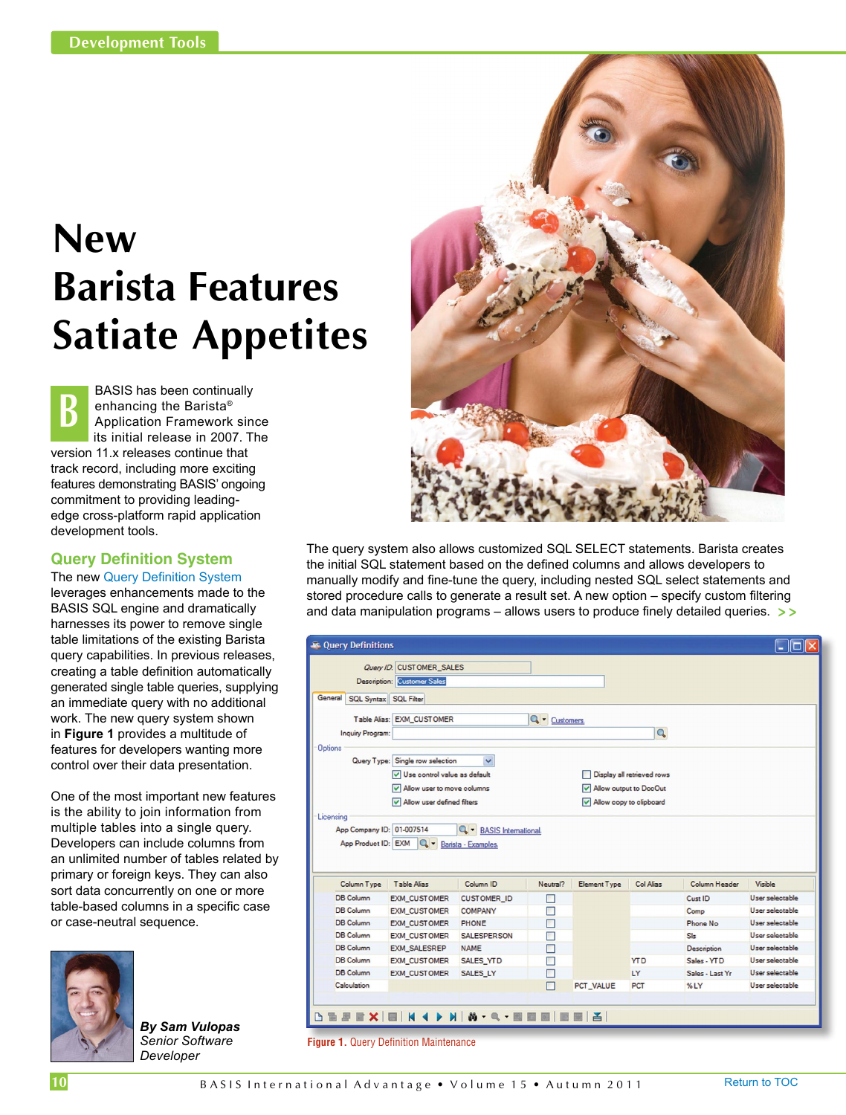## **New Barista Features Satiate Appetites**

BASIS has been continually enhancing the Barista® Application Framework since its initial release in 2007. The version 11.x releases continue that track record, including more exciting features demonstrating BASIS' ongoing commitment to providing leadingedge cross-platform rapid application development tools. **B**

## **Query Definition System**

The new [Query Definition System](https://docs.google.com/a/basis.com/document/d/1K7daxBH4pTHHK65RsHecAHP3BKRxKjWg9SSwFltB_iE/edit?hl=en_US) leverages enhancements made to the BASIS SQL engine and dramatically harnesses its power to remove single table limitations of the existing Barista query capabilities. In previous releases, creating a table definition automatically generated single table queries, supplying an immediate query with no additional work. The new query system shown in **Figure 1** provides a multitude of features for developers wanting more control over their data presentation.

One of the most important new features is the ability to join information from multiple tables into a single query. Developers can include columns from an unlimited number of tables related by primary or foreign keys. They can also sort data concurrently on one or more table-based columns in a specific case or case-neutral sequence.



*By Sam Vulopas Senior Software Developer*



The query system also allows customized SQL SELECT statements. Barista creates the initial SQL statement based on the defined columns and allows developers to manually modify and fine-tune the query, including nested SQL select statements and stored procedure calls to generate a result set. A new option – specify custom filtering and data manipulation programs – allows users to produce finely detailed queries. **> >**

| <b>R</b> Query Definitions                       |                                    |                                                           |               |                            |            |                 |                                    |
|--------------------------------------------------|------------------------------------|-----------------------------------------------------------|---------------|----------------------------|------------|-----------------|------------------------------------|
|                                                  | Query ID: CUSTOMER_SALES           |                                                           |               |                            |            |                 |                                    |
|                                                  | <b>Description: Customer Sales</b> |                                                           |               |                            |            |                 |                                    |
| General<br><b>SQL Syntax SQL Filter</b>          |                                    |                                                           |               |                            |            |                 |                                    |
|                                                  |                                    |                                                           |               |                            |            |                 |                                    |
|                                                  | Table Alias: EXM CUSTOMER          |                                                           | Q · Customers |                            |            |                 |                                    |
| <b>Inquiry Program:</b>                          |                                    |                                                           |               |                            | Q          |                 |                                    |
| <b>Options</b>                                   |                                    |                                                           |               |                            |            |                 |                                    |
|                                                  | Query Type: Single row selection   | $\checkmark$                                              |               |                            |            |                 |                                    |
|                                                  | Use control value as default       |                                                           |               | Display all retrieved rows |            |                 |                                    |
|                                                  | Allow user to move columns         |                                                           |               | Allow output to DocOut     |            |                 |                                    |
|                                                  |                                    |                                                           |               | Allow copy to clipboard    |            |                 |                                    |
|                                                  | Allow user defined filters         |                                                           |               |                            |            |                 |                                    |
| App Company ID: 01-007514<br>App Product ID: EXM |                                    | <b>Q</b> - BASIS International.<br>Q - Barista - Examples |               |                            |            |                 |                                    |
| Licensing                                        |                                    |                                                           |               |                            |            |                 |                                    |
| Column Type                                      | <b>Table Alias</b>                 | Column <sub>ID</sub>                                      | Neutral?      | <b>Element Type</b>        | Col Alias  | Column Header   | Visible                            |
| DB Column                                        | <b>EXM CUSTOMER</b>                | <b>CUSTOMER ID</b>                                        | П             |                            |            | Cust ID         | User selectable                    |
| <b>DB</b> Column                                 | <b>EXM_CUSTOMER</b>                | <b>COMPANY</b>                                            | П             |                            |            | Comp            | User selectable                    |
| <b>DB</b> Column                                 | <b>EXM_CUSTOMER</b>                | <b>PHONE</b>                                              | П             |                            |            | Phone No.       | User selectable                    |
| DB Column                                        | <b>EXM CUSTOMER</b>                | <b>SALESPERSON</b>                                        | П             |                            |            | S <sub>k</sub>  |                                    |
| <b>DB Column</b>                                 | <b>EXM SALESREP</b>                | <b>NAME</b>                                               | П             |                            |            | Description     | User selectable<br>User selectable |
| <b>DB</b> Column                                 | <b>EXM_CUSTOMER</b>                | SALES_YTD                                                 |               |                            | <b>YTD</b> | Sales - YTD     | User selectable                    |
| <b>DB Column</b>                                 | <b>EXM CUSTOMER</b>                | <b>SALES LY</b>                                           |               |                            | LY         | Sales - Last Yr | User selectable                    |
| Calculation                                      |                                    |                                                           | П             | PCT VALUE                  | PCT        | $%$ LY          | User selectable                    |

**Figure 1.** Query Definition Maintenance